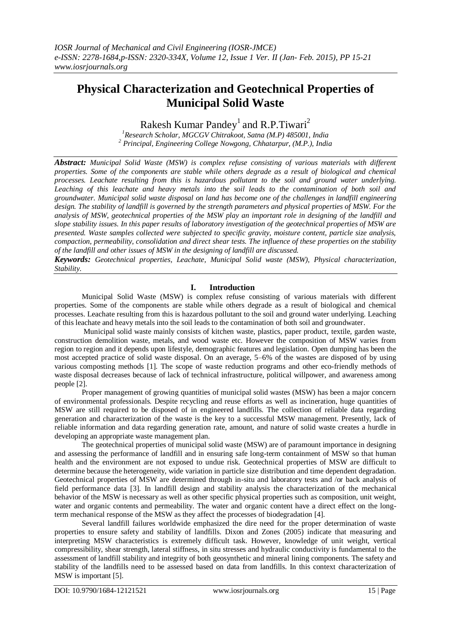# **Physical Characterization and Geotechnical Properties of Municipal Solid Waste**

Rakesh Kumar Pandey<sup>1</sup> and R.P.Tiwari<sup>2</sup>

*<sup>1</sup>Research Scholar, MGCGV Chitrakoot, Satna (M.P) 485001, India <sup>2</sup> Principal, Engineering College Nowgong, Chhatarpur, (M.P.), India*

*Abstract: Municipal Solid Waste (MSW) is complex refuse consisting of various materials with different properties. Some of the components are stable while others degrade as a result of biological and chemical processes. Leachate resulting from this is hazardous pollutant to the soil and ground water underlying. Leaching of this leachate and heavy metals into the soil leads to the contamination of both soil and groundwater. Municipal solid waste disposal on land has become one of the challenges in landfill engineering design. The stability of landfill is governed by the strength parameters and physical properties of MSW. For the analysis of MSW, geotechnical properties of the MSW play an important role in designing of the landfill and slope stability issues. In this paper results of laboratory investigation of the geotechnical properties of MSW are presented. Waste samples collected were subjected to specific gravity, moisture content, particle size analysis, compaction, permeability, consolidation and direct shear tests. The influence of these properties on the stability of the landfill and other issues of MSW in the designing of landfill are discussed.* 

*Keywords: Geotechnical properties, Leachate, Municipal Solid waste (MSW), Physical characterization, Stability.*

#### **I. Introduction**

Municipal Solid Waste (MSW) is complex refuse consisting of various materials with different properties. Some of the components are stable while others degrade as a result of biological and chemical processes. Leachate resulting from this is hazardous pollutant to the soil and ground water underlying. Leaching of this leachate and heavy metals into the soil leads to the contamination of both soil and groundwater.

Municipal solid waste mainly consists of kitchen waste, plastics, paper product, textile, garden waste, construction demolition waste, metals, and wood waste etc. However the composition of MSW varies from region to region and it depends upon lifestyle, demographic features and legislation. Open dumping has been the most accepted practice of solid waste disposal. On an average, 5–6% of the wastes are disposed of by using various composting methods [1]. The scope of waste reduction programs and other eco-friendly methods of waste disposal decreases because of lack of technical infrastructure, political willpower, and awareness among people [2].

Proper management of growing quantities of municipal solid wastes (MSW) has been a major concern of environmental professionals. Despite recycling and reuse efforts as well as incineration, huge quantities of MSW are still required to be disposed of in engineered landfills. The collection of reliable data regarding generation and characterization of the waste is the key to a successful MSW management. Presently, lack of reliable information and data regarding generation rate, amount, and nature of solid waste creates a hurdle in developing an appropriate waste management plan.

The geotechnical properties of municipal solid waste (MSW) are of paramount importance in designing and assessing the performance of landfill and in ensuring safe long-term containment of MSW so that human health and the environment are not exposed to undue risk. Geotechnical properties of MSW are difficult to determine because the heterogeneity, wide variation in particle size distribution and time dependent degradation. Geotechnical properties of MSW are determined through in-situ and laboratory tests and /or back analysis of field performance data [3]. In landfill design and stability analysis the characterization of the mechanical behavior of the MSW is necessary as well as other specific physical properties such as composition, unit weight, water and organic contents and permeability. The water and organic content have a direct effect on the longterm mechanical response of the MSW as they affect the processes of biodegradation [4].

Several landfill failures worldwide emphasized the dire need for the proper determination of waste properties to ensure safety and stability of landfills. Dixon and Zones (2005) indicate that measuring and interpreting MSW characteristics is extremely difficult task. However, knowledge of unit weight, vertical compressibility, shear strength, lateral stiffness, in situ stresses and hydraulic conductivity is fundamental to the assessment of landfill stability and integrity of both geosynthetic and mineral lining components. The safety and stability of the landfills need to be assessed based on data from landfills. In this context characterization of MSW is important [5].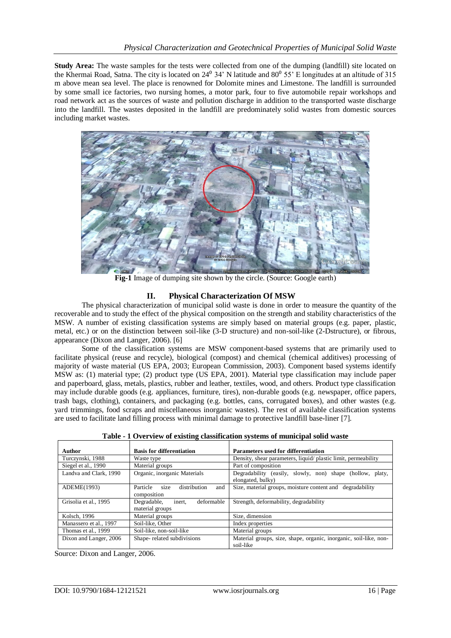**Study Area:** The waste samples for the tests were collected from one of the dumping (landfill) site located on the Khermai Road, Satna. The city is located on  $24^{\circ}$  34' N latitude and  $80^{\circ}$  55' E longitudes at an altitude of 315 m above mean sea level. The place is renowned for Dolomite mines and Limestone. The landfill is surrounded by some small ice factories, two nursing homes, a motor park, four to five automobile repair workshops and road network act as the sources of waste and pollution discharge in addition to the transported waste discharge into the landfill. The wastes deposited in the landfill are predominately solid wastes from domestic sources including market wastes.



**Fig-1** Image of dumping site shown by the circle. (Source: Google earth)

### **II. Physical Characterization Of MSW**

The physical characterization of municipal solid waste is done in order to measure the quantity of the recoverable and to study the effect of the physical composition on the strength and stability characteristics of the MSW. A number of existing classification systems are simply based on material groups (e.g. paper, plastic, metal, etc.) or on the distinction between soil-like (3-D structure) and non-soil-like (2-Dstructure), or fibrous, appearance (Dixon and Langer, 2006). [6]

Some of the classification systems are MSW component-based systems that are primarily used to facilitate physical (reuse and recycle), biological (compost) and chemical (chemical additives) processing of majority of waste material (US EPA, 2003; European Commission, 2003). Component based systems identify MSW as: (1) material type; (2) product type (US EPA, 2001). Material type classification may include paper and paperboard, glass, metals, plastics, rubber and leather, textiles, wood, and others. Product type classification may include durable goods (e.g. appliances, furniture, tires), non-durable goods (e.g. newspaper, office papers, trash bags, clothing), containers, and packaging (e.g. bottles, cans, corrugated boxes), and other wastes (e.g. yard trimmings, food scraps and miscellaneous inorganic wastes). The rest of available classification systems are used to facilitate land filling process with minimal damage to protective landfill base-liner [7].

| Author                 | <b>Basis for differentiation</b>                       | <b>Parameters used for differentiation</b>                                     |  |  |
|------------------------|--------------------------------------------------------|--------------------------------------------------------------------------------|--|--|
| Turczynski, 1988       | Waste type                                             | Density, shear parameters, liquid/ plastic limit, permeability                 |  |  |
| Siegel et al., 1990    | Material groups                                        | Part of composition                                                            |  |  |
| Landva and Clark, 1990 | Organic, inorganic Materials                           | Degradability (easily, slowly, non) shape (hollow, platy,<br>elongated, bulky) |  |  |
| ADEME(1993)            | size<br>distribution<br>Particle<br>and<br>composition | Size, material groups, moisture content and degradability                      |  |  |
| Grisolia et al., 1995  | inert.<br>deformable<br>Degradable,<br>material groups | Strength, deformability, degradability                                         |  |  |
| Kolsch, 1996           | Material groups                                        | Size, dimension                                                                |  |  |
| Manassero et al., 1997 | Soil-like, Other                                       | Index properties                                                               |  |  |
| Thomas et al., 1999    | Soil-like, non-soil-like                               | Material groups                                                                |  |  |
| Dixon and Langer, 2006 | Shape-related subdivisions                             | Material groups, size, shape, organic, inorganic, soil-like, non-<br>soil-like |  |  |

**Table - 1 Overview of existing classification systems of municipal solid waste**

Source: Dixon and Langer, 2006.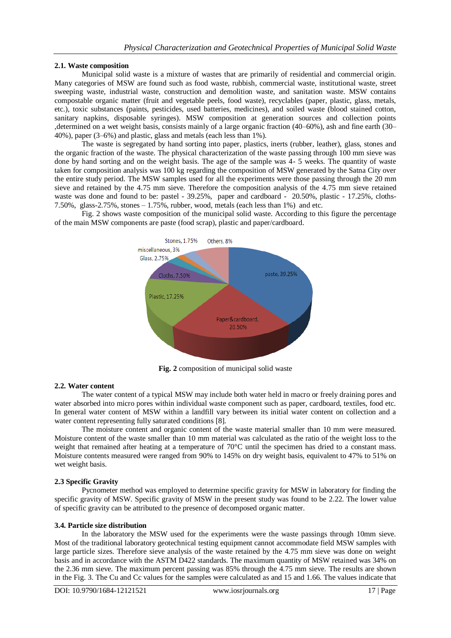#### **2.1. Waste composition**

Municipal solid waste is a mixture of wastes that are primarily of residential and commercial origin. Many categories of MSW are found such as food waste, rubbish, commercial waste, institutional waste, street sweeping waste, industrial waste, construction and demolition waste, and sanitation waste. MSW contains compostable organic matter (fruit and vegetable peels, food waste), recyclables (paper, plastic, glass, metals, etc.), toxic substances (paints, pesticides, used batteries, medicines), and soiled waste (blood stained cotton, sanitary napkins, disposable syringes). MSW composition at generation sources and collection points ,determined on a wet weight basis, consists mainly of a large organic fraction (40–60%), ash and fine earth (30– 40%), paper (3–6%) and plastic, glass and metals (each less than 1%).

The waste is segregated by hand sorting into paper, plastics, inerts (rubber, leather), glass, stones and the organic fraction of the waste. The physical characterization of the waste passing through 100 mm sieve was done by hand sorting and on the weight basis. The age of the sample was 4- 5 weeks. The quantity of waste taken for composition analysis was 100 kg regarding the composition of MSW generated by the Satna City over the entire study period. The MSW samples used for all the experiments were those passing through the 20 mm sieve and retained by the 4.75 mm sieve. Therefore the composition analysis of the 4.75 mm sieve retained waste was done and found to be: pastel - 39.25%, paper and cardboard - 20.50%, plastic - 17.25%, cloths-7.50%, glass-2.75%, stones  $-1.75$ %, rubber, wood, metals (each less than 1%) and etc.

Fig. 2 shows waste composition of the municipal solid waste. According to this figure the percentage of the main MSW components are paste (food scrap), plastic and paper/cardboard.



**Fig. 2** composition of municipal solid waste

#### **2.2. Water content**

The water content of a typical MSW may include both water held in macro or freely draining pores and water absorbed into micro pores within individual waste component such as paper, cardboard, textiles, food etc. In general water content of MSW within a landfill vary between its initial water content on collection and a water content representing fully saturated conditions [8].

The moisture content and organic content of the waste material smaller than 10 mm were measured. Moisture content of the waste smaller than 10 mm material was calculated as the ratio of the weight loss to the weight that remained after heating at a temperature of 70°C until the specimen has dried to a constant mass. Moisture contents measured were ranged from 90% to 145% on dry weight basis, equivalent to 47% to 51% on wet weight basis.

#### **2.3 Specific Gravity**

Pycnometer method was employed to determine specific gravity for MSW in laboratory for finding the specific gravity of MSW. Specific gravity of MSW in the present study was found to be 2.22. The lower value of specific gravity can be attributed to the presence of decomposed organic matter.

#### **3.4. Particle size distribution**

In the laboratory the MSW used for the experiments were the waste passings through 10mm sieve. Most of the traditional laboratory geotechnical testing equipment cannot accommodate field MSW samples with large particle sizes. Therefore sieve analysis of the waste retained by the 4.75 mm sieve was done on weight basis and in accordance with the ASTM D422 standards. The maximum quantity of MSW retained was 34% on the 2.36 mm sieve. The maximum percent passing was 85% through the 4.75 mm sieve. The results are shown in the Fig. 3. The Cu and Cc values for the samples were calculated as and 15 and 1.66. The values indicate that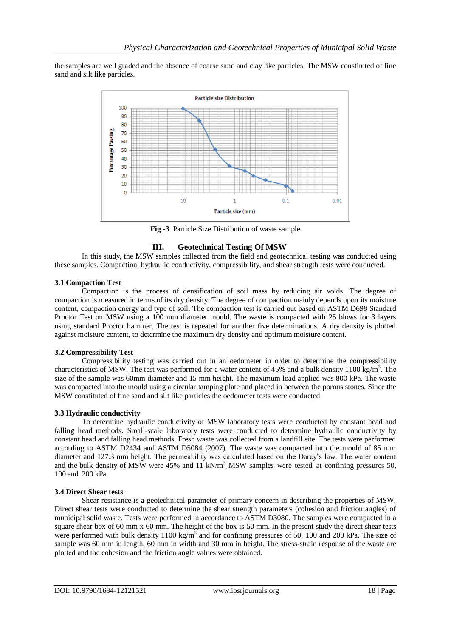the samples are well graded and the absence of coarse sand and clay like particles. The MSW constituted of fine sand and silt like particles.



**Fig -3** Particle Size Distribution of waste sample

## **III. Geotechnical Testing Of MSW**

In this study, the MSW samples collected from the field and geotechnical testing was conducted using these samples. Compaction, hydraulic conductivity, compressibility, and shear strength tests were conducted.

#### **3.1 Compaction Test**

Compaction is the process of densification of soil mass by reducing air voids. The degree of compaction is measured in terms of its dry density. The degree of compaction mainly depends upon its moisture content, compaction energy and type of soil. The compaction test is carried out based on ASTM D698 Standard Proctor Test on MSW using a 100 mm diameter mould. The waste is compacted with 25 blows for 3 layers using standard Proctor hammer. The test is repeated for another five determinations. A dry density is plotted against moisture content, to determine the maximum dry density and optimum moisture content.

#### **3.2 Compressibility Test**

Compressibility testing was carried out in an oedometer in order to determine the compressibility characteristics of MSW. The test was performed for a water content of 45% and a bulk density 1100 kg/m<sup>3</sup>. The size of the sample was 60mm diameter and 15 mm height. The maximum load applied was 800 kPa. The waste was compacted into the mould using a circular tamping plate and placed in between the porous stones. Since the MSW constituted of fine sand and silt like particles the oedometer tests were conducted.

#### **3.3 Hydraulic conductivity**

To determine hydraulic conductivity of MSW laboratory tests were conducted by constant head and falling head methods. Small-scale laboratory tests were conducted to determine hydraulic conductivity by constant head and falling head methods. Fresh waste was collected from a landfill site. The tests were performed according to ASTM D2434 and ASTM D5084 (2007). The waste was compacted into the mould of 85 mm diameter and 127.3 mm height. The permeability was calculated based on the Darcy's law. The water content and the bulk density of MSW were 45% and 11 kN/m<sup>3</sup> MSW samples were tested at confining pressures 50, 100 and 200 kPa.

#### **3.4 Direct Shear tests**

Shear resistance is a geotechnical parameter of primary concern in describing the properties of MSW. Direct shear tests were conducted to determine the shear strength parameters (cohesion and friction angles) of municipal solid waste. Tests were performed in accordance to ASTM D3080. The samples were compacted in a square shear box of 60 mm x 60 mm. The height of the box is 50 mm. In the present study the direct shear tests were performed with bulk density 1100 kg/m<sup>3</sup> and for confining pressures of 50, 100 and 200 kPa. The size of sample was 60 mm in length, 60 mm in width and 30 mm in height. The stress-strain response of the waste are plotted and the cohesion and the friction angle values were obtained.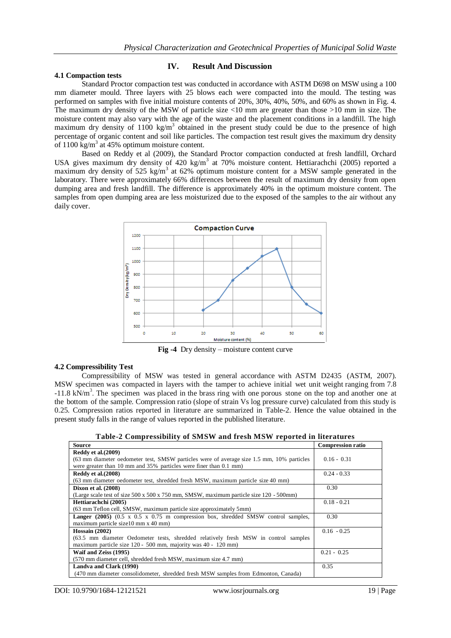#### **4.1 Compaction tests**

#### **IV. Result And Discussion**

Standard Proctor compaction test was conducted in accordance with ASTM D698 on MSW using a 100 mm diameter mould. Three layers with 25 blows each were compacted into the mould. The testing was performed on samples with five initial moisture contents of 20%, 30%, 40%, 50%, and 60% as shown in Fig. 4. The maximum dry density of the MSW of particle size  $\lt 10$  mm are greater than those  $\gt 10$  mm in size. The moisture content may also vary with the age of the waste and the placement conditions in a landfill. The high maximum dry density of 1100 kg/m<sup>3</sup> obtained in the present study could be due to the presence of high percentage of organic content and soil like particles. The compaction test result gives the maximum dry density of  $1100 \text{ kg/m}^3$  at 45% optimum moisture content.

Based on Reddy et al (2009), the Standard Proctor compaction conducted at fresh landfill, Orchard USA gives maximum dry density of 420 kg/m<sup>3</sup> at 70% moisture content. Hettiarachchi (2005) reported a maximum dry density of 525 kg/m<sup>3</sup> at 62% optimum moisture content for a MSW sample generated in the laboratory. There were approximately 66% differences between the result of maximum dry density from open dumping area and fresh landfill. The difference is approximately 40% in the optimum moisture content. The samples from open dumping area are less moisturized due to the exposed of the samples to the air without any daily cover.



**Fig -4** Dry density – moisture content curve

#### **4.2 Compressibility Test**

Compressibility of MSW was tested in general accordance with ASTM D2435 (ASTM, 2007). MSW specimen was compacted in layers with the tamper to achieve initial wet unit weight ranging from 7.8 -11.8 kN/m<sup>3</sup>. The specimen was placed in the brass ring with one porous stone on the top and another one at the bottom of the sample. Compression ratio (slope of strain Vs log pressure curve) calculated from this study is 0.25. Compression ratios reported in literature are summarized in Table-2. Hence the value obtained in the present study falls in the range of values reported in the published literature.

|  |  | Table-2 Compressibility of SMSW and fresh MSW reported in literatures |
|--|--|-----------------------------------------------------------------------|
|  |  |                                                                       |

| <b>Source</b>                                                                                                | <b>Compression ratio</b> |
|--------------------------------------------------------------------------------------------------------------|--------------------------|
| Reddy et al. $(2009)$                                                                                        |                          |
| (63 mm diameter oedometer test, SMSW particles were of average size 1.5 mm, 10% particles                    | $0.16 - 0.31$            |
| were greater than 10 mm and 35% particles were finer than 0.1 mm)                                            |                          |
| Reddy et al. (2008)                                                                                          | $0.24 - 0.33$            |
| (63 mm diameter oedometer test, shredded fresh MSW, maximum particle size 40 mm)                             |                          |
| <b>Dixon et al.</b> (2008)                                                                                   | 0.30                     |
| (Large scale test of size $500 \times 500 \times 750$ mm, SMSW, maximum particle size 120 - 500mm)           |                          |
| Hettiarachchi (2005)                                                                                         | $0.18 - 0.21$            |
| (63 mm Teflon cell, SMSW, maximum particle size approximately 5mm)                                           |                          |
| <b>Langer</b> (2005) $(0.5 \times 0.5 \times 0.75 \text{ m}$ compression box, shredded SMSW control samples, | 0.30                     |
| maximum particle size10 mm x 40 mm)                                                                          |                          |
| Hossain $(2002)$                                                                                             | $0.16 - 0.25$            |
| (63.5 mm diameter Oedometer tests, shredded relatively fresh MSW in control samples                          |                          |
| maximum particle size 120 - 500 mm, majority was 40 - 120 mm)                                                |                          |
| Waif and Zeiss (1995)                                                                                        | $0.21 - 0.25$            |
| (570 mm diameter cell, shredded fresh MSW, maximum size 4.7 mm)                                              |                          |
| Landva and Clark (1990)                                                                                      | 0.35                     |
| (470 mm diameter consolidometer, shredded fresh MSW samples from Edmonton, Canada)                           |                          |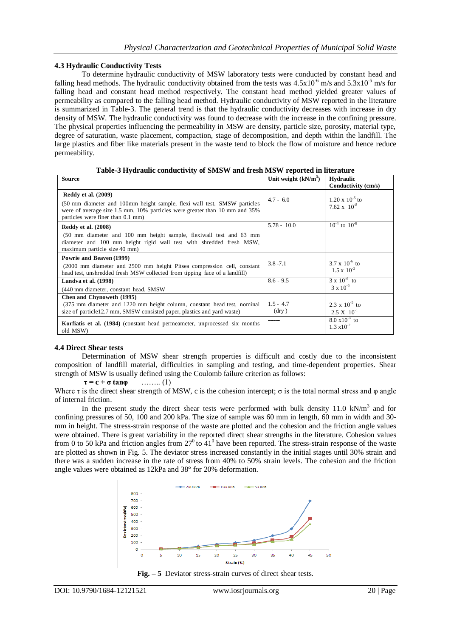#### **4.3 Hydraulic Conductivity Tests**

To determine hydraulic conductivity of MSW laboratory tests were conducted by constant head and falling head methods. The hydraulic conductivity obtained from the tests was  $4.5x10^{-6}$  m/s and  $5.3x10^{-5}$  m/s for falling head and constant head method respectively. The constant head method yielded greater values of permeability as compared to the falling head method. Hydraulic conductivity of MSW reported in the literature is summarized in Table-3. The general trend is that the hydraulic conductivity decreases with increase in dry density of MSW. The hydraulic conductivity was found to decrease with the increase in the confining pressure. The physical properties influencing the permeability in MSW are density, particle size, porosity, material type, degree of saturation, waste placement, compaction, stage of decomposition, and depth within the landfill. The large plastics and fiber like materials present in the waste tend to block the flow of moisture and hence reduce permeability.

| <b>Source</b>                                                                                                                                                                                                             | Unit weight $(kN/m^3)$ | <b>Hydraulic</b>                                  |
|---------------------------------------------------------------------------------------------------------------------------------------------------------------------------------------------------------------------------|------------------------|---------------------------------------------------|
|                                                                                                                                                                                                                           |                        | Conductivity (cm/s)                               |
| <b>Reddy et al.</b> (2009)<br>(50 mm diameter and 100mm height sample, flexi wall test, SMSW particles<br>were of average size 1.5 mm, 10% particles were greater than 10 mm and 35%<br>particles were finer than 0.1 mm) | $4.7 - 6.0$            | $1.20 \times 10^{-5}$ to<br>$7.62 \times 10^{-8}$ |
| <b>Reddy et al. (2008)</b>                                                                                                                                                                                                | $5.78 - 10.0$          | $10^{-4}$ to $10^{-8}$                            |
| (50 mm diameter and 100 mm height sample, flexiwall test and 63 mm<br>diameter and 100 mm height rigid wall test with shredded fresh MSW,<br>maximum particle size 40 mm)                                                 |                        |                                                   |
| Powrie and Beaven (1999)                                                                                                                                                                                                  |                        |                                                   |
| (2000 mm diameter and 2500 mm height Pitsea compression cell, constant<br>head test, unshredded fresh MSW collected from tipping face of a landfill)                                                                      | $3.8 - 7.1$            | $3.7 \times 10^{-6}$ to<br>$1.5 \times 10^{-2}$   |
| Landva et al. (1998)                                                                                                                                                                                                      | $8.6 - 9.5$            | $3 \times 10^{-6}$ to                             |
| (440 mm diameter, constant head, SMSW)                                                                                                                                                                                    |                        | $3 \times 10^{-5}$                                |
| <b>Chen and Chynoweth (1995)</b>                                                                                                                                                                                          |                        |                                                   |
| (375 mm diameter and 1220 mm height column, constant head test, nominal                                                                                                                                                   | $1.5 - 4.7$            | $2.3 \times 10^{-5}$ to                           |
| size of particle12.7 mm, SMSW consisted paper, plastics and yard waste)                                                                                                                                                   | $(\text{dry})$         | $2.5 \text{ X} \quad 10^{-1}$                     |
| Korfiatis et al. (1984) (constant head permeameter, unprocessed six months<br>old MSW)                                                                                                                                    | ------                 | $8.0 \times 10^{-3}$ to<br>$1.3 \times 10^{-2}$   |

**Table-3 Hydraulic conductivity of SMSW and fresh MSW reported in literature**

#### **4.4 Direct Shear tests**

Determination of MSW shear strength properties is difficult and costly due to the inconsistent composition of landfill material, difficulties in sampling and testing, and time-dependent properties. Shear strength of MSW is usually defined using the Coulomb failure criterion as follows:

 $\tau = c + \sigma \tan\varphi$  ......... (1)

Where  $\tau$  is the direct shear strength of MSW, c is the cohesion intercept;  $\sigma$  is the total normal stress and  $\varphi$  angle of internal friction.

In the present study the direct shear tests were performed with bulk density  $11.0 \text{ kN/m}^3$  and for confining pressures of 50, 100 and 200 kPa. The size of sample was 60 mm in length, 60 mm in width and 30 mm in height. The stress-strain response of the waste are plotted and the cohesion and the friction angle values were obtained. There is great variability in the reported direct shear strengths in the literature. Cohesion values from 0 to 50 kPa and friction angles from  $27^0$  to  $41^0$  have been reported. The stress-strain response of the waste are plotted as shown in Fig. 5. The deviator stress increased constantly in the initial stages until 30% strain and there was a sudden increase in the rate of stress from 40% to 50% strain levels. The cohesion and the friction angle values were obtained as 12kPa and 38° for 20% deformation.



**Fig. – 5** Deviator stress-strain curves of direct shear tests.